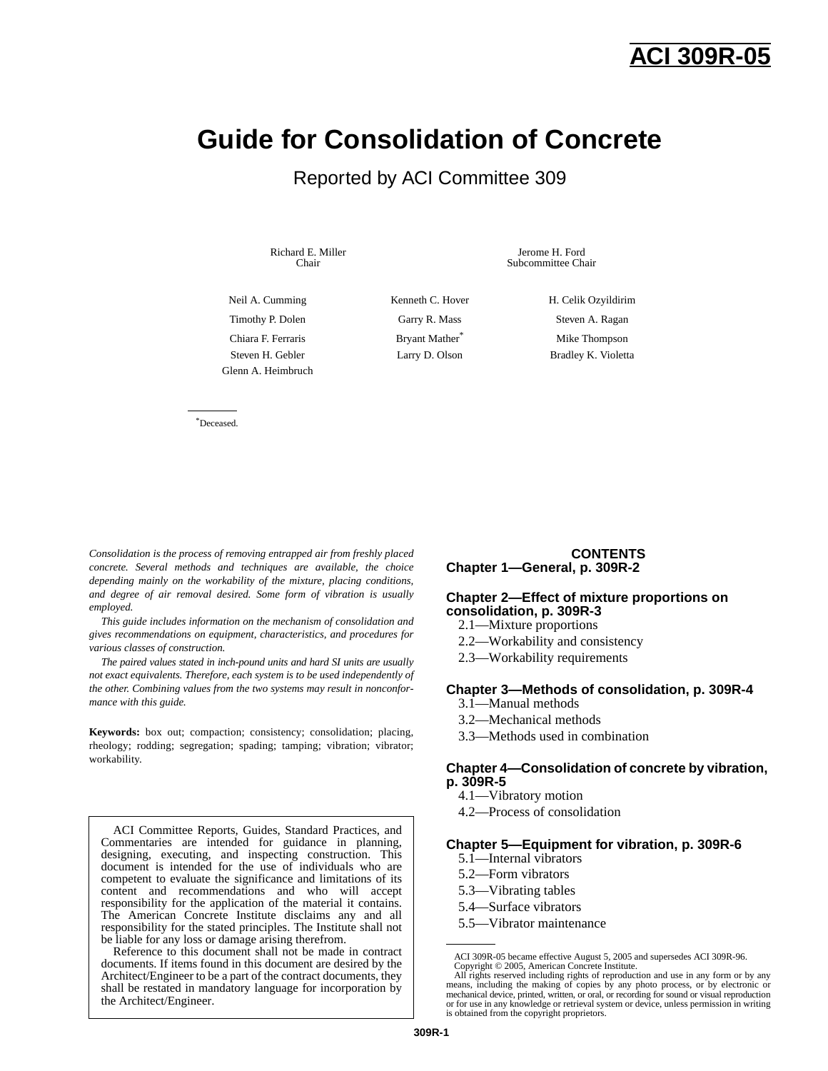## **ACI 309R-05**

# **Guide for Consolidation of Concrete**

## Reported by ACI Committee 309

Richard E. Miller Chair

Jerome H. Ford Subcommittee Chair

Neil A. Cumming Kenneth C. Hover H. Celik Ozyildirim Timothy P. Dolen Garry R. Mass Steven A. Ragan Chiara F. Ferraris **Bryant Mather**<sup>\*</sup> Mike Thompson Steven H. Gebler Larry D. Olson Bradley K. Violetta Glenn A. Heimbruch

\*Deceased.

*Consolidation is the process of removing entrapped air from freshly placed concrete. Several methods and techniques are available, the choice depending mainly on the workability of the mixture, placing conditions, and degree of air removal desired. Some form of vibration is usually employed.*

*This guide includes information on the mechanism of consolidation and gives recommendations on equipment, characteristics, and procedures for various classes of construction.*

*The paired values stated in inch-pound units and hard SI units are usually not exact equivalents. Therefore, each system is to be used independently of the other. Combining values from the two systems may result in nonconformance with this guide.*

**Keywords:** box out; compaction; consistency; consolidation; placing, rheology; rodding; segregation; spading; tamping; vibration; vibrator; workability.

ACI Committee Reports, Guides, Standard Practices, and Commentaries are intended for guidance in planning, designing, executing, and inspecting construction. This document is intended for the use of individuals who are competent to evaluate the significance and limitations of its content and recommendations and who will accept responsibility for the application of the material it contains. The American Concrete Institute disclaims any and all responsibility for the stated principles. The Institute shall not be liable for any loss or damage arising therefrom.

Reference to this document shall not be made in contract documents. If items found in this document are desired by the Architect/Engineer to be a part of the contract documents, they shall be restated in mandatory language for incorporation by the Architect/Engineer.

#### **CONTENTS Chapter 1—General, p. 309R-2**

#### **Chapter 2—Effect of mixture proportions on consolidation, p. 309R-3**

- 2.1—Mixture proportions
- 2.2—Workability and consistency
- 2.3—Workability requirements

#### **Chapter 3—Methods of consolidation, p. 309R-4**

- 3.1—Manual methods
- 3.2—Mechanical methods
- 3.3—Methods used in combination

#### **Chapter 4—Consolidation of concrete by vibration, p. 309R-5**

- 4.1—Vibratory motion
- 4.2—Process of consolidation

#### **Chapter 5—Equipment for vibration, p. 309R-6**

- 5.1—Internal vibrators
- 5.2—Form vibrators
- 5.3—Vibrating tables
- 5.4—Surface vibrators
- 5.5—Vibrator maintenance

ACI 309R-05 became effective August 5, 2005 and supersedes ACI 309R-96.

Copyright © 2005, American Concrete Institute.<br>All rights reserved including rights of reproduction and use in any form or by any<br>means, including the making of copies by any photo process, or by electronic or mechanical device, printed, written, or oral, or recording for sound or visual reproduction or for use in any knowledge or retrieval system or device, unless permission in writing is obtained from the copyright proprietors.